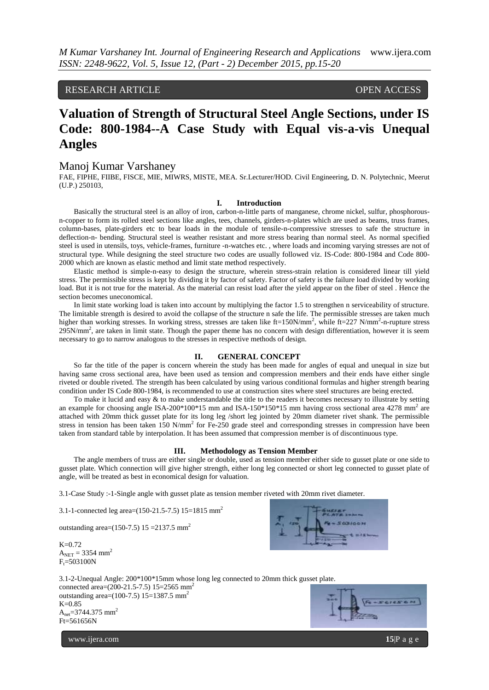RESEARCH ARTICLE OPEN ACCESS

# **Valuation of Strength of Structural Steel Angle Sections, under IS Code: 800-1984--A Case Study with Equal vis-a-vis Unequal Angles**

### Manoj Kumar Varshaney

FAE, FIPHE, FIIBE, FISCE, MIE, MIWRS, MISTE, MEA. Sr.Lecturer/HOD. Civil Engineering, D. N. Polytechnic, Meerut (U.P.) 250103,

#### **I. Introduction**

Basically the structural steel is an alloy of iron, carbon-n-little parts of manganese, chrome nickel, sulfur, phosphorousn-copper to form its rolled steel sections like angles, tees, channels, girders-n-plates which are used as beams, truss frames, column-bases, plate-girders etc to bear loads in the module of tensile-n-compressive stresses to safe the structure in deflection-n- bending. Structural steel is weather resistant and more stress bearing than normal steel. As normal specified steel is used in utensils, toys, vehicle-frames, furniture -n-watches etc. , where loads and incoming varying stresses are not of structural type. While designing the steel structure two codes are usually followed viz. IS-Code: 800-1984 and Code 800- 2000 which are known as elastic method and limit state method respectively.

Elastic method is simple-n-easy to design the structure, wherein stress-strain relation is considered linear till yield stress. The permissible stress is kept by dividing it by factor of safety. Factor of safety is the failure load divided by working load. But it is not true for the material. As the material can resist load after the yield appear on the fiber of steel . Hence the section becomes uneconomical.

In limit state working load is taken into account by multiplying the factor 1.5 to strengthen n serviceability of structure. The limitable strength is desired to avoid the collapse of the structure n safe the life. The permissible stresses are taken much higher than working stresses. In working stress, stresses are taken like ft=150N/mm<sup>2</sup>, while ft=227 N/mm<sup>2</sup>-n-rupture stress  $295N/mm^2$ , are taken in limit state. Though the paper theme has no concern with design differentiation, however it is seem necessary to go to narrow analogous to the stresses in respective methods of design.

#### **II. GENERAL CONCEPT**

So far the title of the paper is concern wherein the study has been made for angles of equal and unequal in size but having same cross sectional area, have been used as tension and compression members and their ends have either single riveted or double riveted. The strength has been calculated by using various conditional formulas and higher strength bearing condition under IS Code 800-1984, is recommended to use at construction sites where steel structures are being erected.

To make it lucid and easy  $&$  to make understandable the title to the readers it becomes necessary to illustrate by setting an example for choosing angle ISA-200 $*100*15$  mm and ISA-150 $*150*15$  mm having cross sectional area 4278 mm<sup>2</sup> are attached with 20mm thick gusset plate for its long leg /short leg jointed by 20mm diameter rivet shank. The permissible stress in tension has been taken  $150 \text{ N/mm}^2$  for Fe-250 grade steel and corresponding stresses in compression have been taken from standard table by interpolation. It has been assumed that compression member is of discontinuous type.

#### **III. Methodology as Tension Member**

The angle members of truss are either single or double, used as tension member either side to gusset plate or one side to gusset plate. Which connection will give higher strength, either long leg connected or short leg connected to gusset plate of angle, will be treated as best in economical design for valuation.

3.1-Case Study :-1-Single angle with gusset plate as tension member riveted with 20mm rivet diameter.

3.1-1-connected leg area= $(150-21.5-7.5)$  15=1815 mm<sup>2</sup>

outstanding area= $(150-7.5)$  15 = 2137.5 mm<sup>2</sup>

 $K=0.72$  $A_{NET} = 3354$  mm<sup>2</sup>  $F_t = 503100N$ 



3.1-2-Unequal Angle: 200\*100\*15mm whose long leg connected to 20mm thick gusset plate. connected area=(200-21.5-7.5) 15=2565 mm<sup>2</sup> outstanding area= $(100-7.5)$  15=1387.5 mm<sup>2</sup> K=0.85  $A_{net} = 3744.375$  mm<sup>2</sup>



www.ijera.com **15**|P a g e

Ft=561656N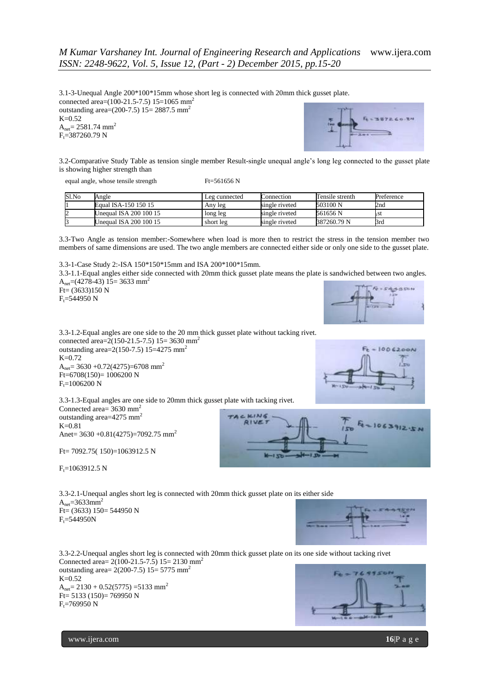3.1-3-Unequal Angle 200\*100\*15mm whose short leg is connected with 20mm thick gusset plate. connected area= $(100-21.5-7.5)$  15=1065 mm<sup>2</sup> outstanding area= $(200-7.5)$  15= 2887.5 mm<sup>2</sup>  $K=0.52$  $A_{net} = 2581.74$  mm<sup>2</sup>  $F_t = 387260.79$  N



3.2-Comparative Study Table as tension single member Result-single unequal angle's long leg connected to the gusset plate is showing higher strength than

equal angle, whose tensile strength Ft=561656 N

| Sl.No | Angle                  | Leg cunnected | Connection     | Tensile strenth | Preference |
|-------|------------------------|---------------|----------------|-----------------|------------|
|       | Equal ISA-150 150 15   | Any leg       | single riveted | 503100 N        | 2nd        |
|       | Unequal ISA 200 100 15 | long leg      | single riveted | 561656 N        |            |
|       | Unequal ISA 200 100 15 | short leg     | single riveted | 387260.79 N     | 3rd        |

3.3-Two Angle as tension member:-Somewhere when load is more then to restrict the stress in the tension member two members of same dimensions are used. The two angle members are connected either side or only one side to the gusset plate.

3.3-1-Case Study 2:-ISA 150\*150\*15mm and ISA 200\*100\*15mm. 3.3-1.1-Equal angles either side connected with 20mm thick gusset plate means the plate is sandwiched between two angles. A<sub>net</sub>=(4278-43) 15= 3633 mm<sup>2</sup> **ASSON**  $F = (3633)150 N$  $F_t = 544950 N$ 



1006200N

 $1063912.5$ 

3.3-1.2-Equal angles are one side to the 20 mm thick gusset plate without tacking rivet. connected area=2(150-21.5-7.5) 15= 3630 mm<sup>2</sup> outstanding area= $2(150-7.5)$  15=4275 mm<sup>2</sup> K=0.72  $A<sub>net</sub> = 3630 + 0.72(4275) = 6708$  mm<sup>2</sup>  $Ft=6708(150)= 1006200$  N  $F_t = 1006200$  N

3.3-1.3-Equal angles are one side to 20mm thick gusset plate with tacking rivet. Connected area=  $3630$  mm<sup>2</sup> TACKING outstanding area=4275 mm<sup>2</sup> **RIVET** K=0.81 Anet=  $3630 + 0.81(4275) = 7092.75$  mm<sup>2</sup>

Ft= 7092.75( 150)=1063912.5 N

 $F_t = 1063912.5 N$ 

3.3-2.1-Unequal angles short leg is connected with 20mm thick gusset plate on its either side  $A<sub>net</sub>=3633mm<sup>2</sup>$  $Ft=(3633)$  150= 544950 N  $F_t = 544950N$ 



3.3-2.2-Unequal angles short leg is connected with 20mm thick gusset plate on its one side without tacking rivet Connected area=  $2(100-21.5-7.5)$  15= 2130 mm<sup>2</sup> outstanding area=  $2(200-7.5)$  15= 5775 mm<sup>2</sup> 7699 K=0.52  $A_{net}$  = 2130 + 0.52(5775) =5133 mm<sup>2</sup> Ft= 5133 (150)= 769950 N  $F_t = 769950 N$ 

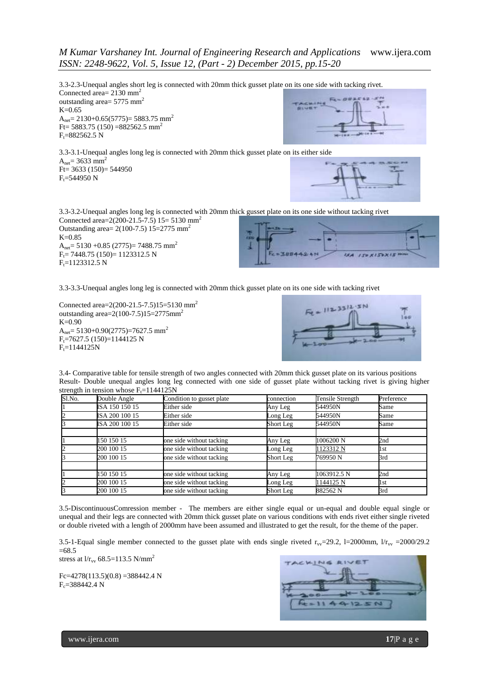## *M Kumar Varshaney Int. Journal of Engineering Research and Applications* www.ijera.com *ISSN: 2248-9622, Vol. 5, Issue 12, (Part - 2) December 2015, pp.15-20*

3.3-2.3-Unequal angles short leg is connected with 20mm thick gusset plate on its one side with tacking rivet. Connected area= 2130 mm<sup>2</sup>

outstanding area=  $5775$  mm<sup>2</sup>  $K=0.65$ A<sub>net</sub>= 2130+0.65(5775)= 5883.75 mm<sup>2</sup> Ft=  $5883.75$  (150) =  $882562.5$  mm<sup>2</sup>  $F_t = 882562.5 N$ 

3.3-3.1-Unequal angles long leg is connected with 20mm thick gusset plate on its either side  $A_{net} = 3633$  mm<sup>2</sup> Ft= 3633 (150)= 544950  $F_t = 544950$  N



3.3-3.2-Unequal angles long leg is connected with 20mm thick gusset plate on its one side without tacking rivet Connected area= $2(200-21.5-7.5)$  15= 5130 mm<sup>2</sup> Outstanding area=  $2(100-7.5)$  15=2775 mm<sup>2</sup>  $K=0.85$ A<sub>net</sub>= 5130 +0.85 (2775)= 7488.75 mm<sup>2</sup>  $F_t$  = 7448.75 (150) = 1123312.5 N  $=7BR$ 

 $F_t$ =1123312.5 N



3.3-3.3-Unequal angles long leg is connected with 20mm thick gusset plate on its one side with tacking rivet

Connected area=2(200-21.5-7.5)15=5130 mm<sup>2</sup> outstanding area= $2(100-7.5)15=2775$ mm<sup>2</sup>  $K = 0.90$ A<sub>net</sub>=  $5130+0.90(2775)$ =7627.5 mm<sup>2</sup>  $F_t$ =7627.5 (150)=1144125 N  $F_t = 1144125N$ 



3.4- Comparative table for tensile strength of two angles connected with 20mm thick gusset plate on its various positions Result- Double unequal angles long leg connected with one side of gusset plate without tacking rivet is giving higher strength in tension whose  $F_t$ =1144125N

| Sl.No. | Double Angle   | Condition to gusset plate | connection | Tensile Strength | Preference |
|--------|----------------|---------------------------|------------|------------------|------------|
|        | ISA 150 150 15 | Either side               | Any Leg    | 544950N          | Same       |
|        | ISA 200 100 15 | Either side               | Long Leg   | 544950N          | Same       |
|        | ISA 200 100 15 | Either side               | Short Leg  | 544950N          | Same       |
|        |                |                           |            |                  |            |
|        | 150 150 15     | one side without tacking  | Any Leg    | 1006200 N        | 2nd        |
|        | 200 100 15     | one side without tacking  | Long Leg   | 1123312 N        | 1st        |
|        | 200 100 15     | one side without tacking  | Short Leg  | 769950 N         | 3rd        |
|        | 150 150 15     | one side without tacking  | Any Leg    | 1063912.5 N      | 2nd        |
|        | 200 100 15     | one side without tacking  | Long Leg   | 1144125 N        | 1st        |
|        | 200 100 15     | one side without tacking  | Short Leg  | 882562 N         | 3rd        |

3.5-DiscontinuousComression member - The members are either single equal or un-equal and double equal single or unequal and their legs are connected with 20mm thick gusset plate on various conditions with ends rivet either single riveted or double riveted with a length of 2000mm have been assumed and illustrated to get the result, for the theme of the paper.

3.5-1-Equal single member connected to the gusset plate with ends single riveted  $r_{\rm{vv}}$ =29.2, l=2000mm,  $1/r_{\rm{vv}}$  =2000/29.2  $=68.5$ 

stress at  $1/r_{\text{vv}}$  68.5=113.5 N/mm<sup>2</sup>

 $Fc=4278(113.5)(0.8) = 388442.4 N$  $F_c = 388442.4 N$ 

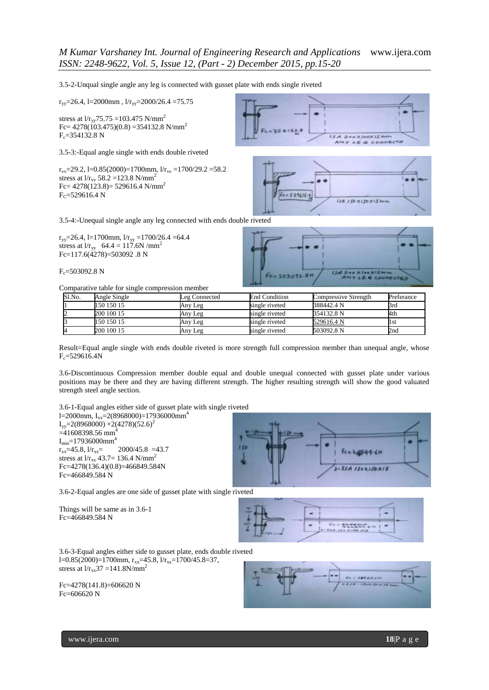3.5-2-Unqual single angle any leg is connected with gusset plate with ends single riveted

 $r_{\text{vv}}$ =26.4, l=2000mm, l/ $r_{\text{vv}}$ =2000/26.4 =75.75

stress at  $1/r_{yy}$ 75.75 =103.475 N/mm<sup>2</sup> Fc=  $4278(103.475)(0.8) = 354132.8$  N/mm<sup>2</sup>  $F_c = 354132.8$  N

3.5-3:-Equal angle single with ends double riveted

 $r_{\rm{vv}}$ =29.2, l=0.85(2000)=1700mm, l/ $r_{\rm{vv}}$  =1700/29.2 =58.2 stress at  $1/r_{\rm vv}$  58.2 =123.8 N/mm<sup>2</sup>  $Fc = 4278(123.8) = 529616.4$  N/mm<sup>2</sup>  $F_C = 529616.4 N$ 





3.5-4:-Unequal single angle any leg connected with ends double riveted

 $r_{yy}=26.4$ , l=1700mm, l/ $r_{yy}=1700/26.4 = 64.4$ stress at  $1/r_{\text{yy}}$  64.4 = 117.6N /mm<sup>2</sup> Fc= $117.6(\ddot{4}278) = 503092.8$  N

 $F_c = 503092.8$  N

Comparative table for single compression member



| Sl.No. | Angle Single | Leg Connected | <b>End Condition</b> | Compressive Strength | Preferance |
|--------|--------------|---------------|----------------------|----------------------|------------|
|        | 150 150 15   | Any Leg       | single riveted       | 388442.4 N           | Brd        |
|        | 200 100 15   | Any Leg       | single riveted       | 354132.8 N           | 4th        |
|        | 150 150 15   | Any Leg       | single riveted       | 529616.4 N           | ll st      |
|        | 200 100 15   | Any Leg       | single riveted       | 503092.8 N           | 2nd        |

Result=Equal angle single with ends double riveted is more strength full compression member than unequal angle, whose  $F_c = 529616.4N$ 

3.6-Discontinuous Compression member double equal and double unequal connected with gusset plate under various positions may be there and they are having different strength. The higher resulting strength will show the good valuated strength steel angle section.

3.6-1-Equal angles either side of gusset plate with single riveted l=2000mm, I<sub>xx</sub>=2(8968000)=17936000mm<sup>4</sup>  $I_{yy}=2(8968000) +2(4278)(52.6)^2$  $=41608398.56$  mm<sup>4</sup>  $I_{min}$ =17936000mm<sup>4</sup>  $r_{xx}$ =45.8,  $1/r_{xx}$ = 2000/45.8 =43.7 stress at l/ $r_{xx}$  43.7= 136.4 N/mm<sup>2</sup> Fc=4278(136.4)(0.8)=466849.584N Fc=466849.584 N



3.6-2-Equal angles are one side of gusset plate with single riveted

Things will be same as in 3.6-1 Fc=466849.584 N



3.6-3-Equal angles either side to gusset plate, ends double riveted l=0.85(2000)=1700mm,  $r_{xx}$ =45.8, l/ $r_{xx}$ =1700/45.8=37, stress at  $1/r_{xx}37 = 141.8$ N/mm<sup>2</sup>

Fc=4278(141.8)=606620 N Fc=606620 N

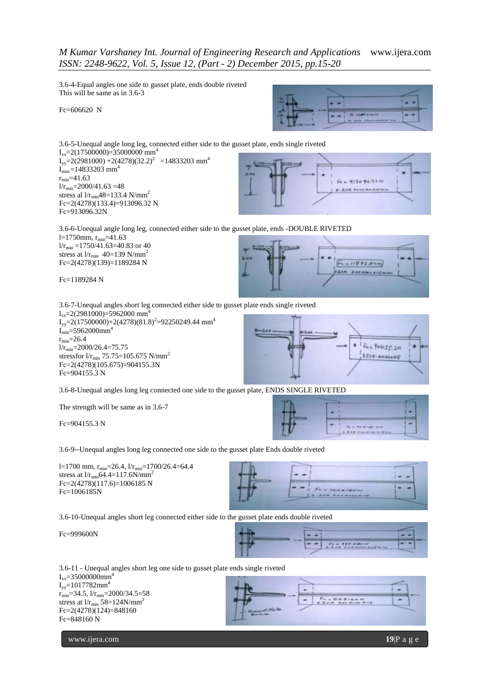## *M Kumar Varshaney Int. Journal of Engineering Research and Applications* www.ijera.com *ISSN: 2248-9622, Vol. 5, Issue 12, (Part - 2) December 2015, pp.15-20*

3.6-4-Equal angles one side to gusset plate, ends double riveted This will be same as in 3.6-3

Fc=606620 N



3.6-5-Unequal angle long leg, connected either side to the gusset plate, ends single riveted  $I_{xx}$ =2(17500000)=35000000 mm<sup>4</sup>  $I_{yy}$ =2(2981000) +2(4278)(32.2)<sup>2</sup> =14833203 mm<sup>4</sup>  $I_{min}$ =14833203 mm<sup>4</sup>  $r_{min} = 41.63$  $1/r_{\text{min}} = 2000/41.63 = 48$ stress al  $1/r_{\text{min}}48=133.4 \text{ N/mm}^2$ Fc=2(4278)(133.4)=913096.32 N



3.6-6-Unequal angle long leg, connected either side to the gusset plate, ends -DOUBLE RIVETED l=1750mm,  $r_{min}$ =41.63  $1/r_{\text{min}} = 1750/41.63 = 40.83$  or 40

stress at  $1/r_{\text{min}}$  40=139 N/mm<sup>2</sup> Fc=2(4278)(139)=1189284 N

Fc=1189284 N

Fc=913096.32N



3.6-7-Unequal angles short leg connected either side to gusset plate ends single riveted  $l_{xx}$ =2(2981000)=5962000 mm<sup>2</sup>  $I_{yy}$ =2(17500000)+2(4278)(81.8)<sup>2</sup>=92250249.44 mm<sup>4</sup>  $I_{min} = 5962000$ mm<sup>4</sup>  $r_{min} = 26.4$  $1/r_{min} = 2000/26.4 = 75.75$ stressfor  $1/r_{min}$  75.75=105.675 N/mm<sup>2</sup>  $Fc=2(4278)(105.675)=904155.3N$ Fc=904155.3 N



**B** is measured as  $8.877$  Fox 6110 a.12

3.6-8-Unequal angles long leg connected one side to the gusset plate, ENDS SINGLE RIVETED

The strength will be same as in 3.6-7

Fc=904155.3 N

3.6-9--Unequal angles long leg connected one side to the gusset plate Ends double riveted

l=1700 mm,  $r_{\text{min}}$ =26.4,  $1/r_{\text{min}}$ =1700/26.4=64.4 stress at  $1/r_{min}$ 64.4=117.6N/mm<sup>2</sup> Fc=2(4278)(117.6)=1006185 N Fc=1006185N



3.6-10-Unequal angles short leg connected either side to the gusset plate ends double riveted

Fc=999600N

Fc=848160 N



3.6-11 - Unequal angles short leg one side to gusset plate ends single riveted  $I_{xx}$ =35000000mm<sup>4</sup>  $I_{yy}$ =1017782mm<sup>4</sup>  $r_{\text{min}}$ =34.5,  $1/r_{\text{min}}$ =2000/34.5=58 ٠ stress at  $1/r_{\text{min}}$  58=124N/mm<sup>2</sup>



www.ijera.com **19**|P a g e

Fc=2(4278)(124)=848160